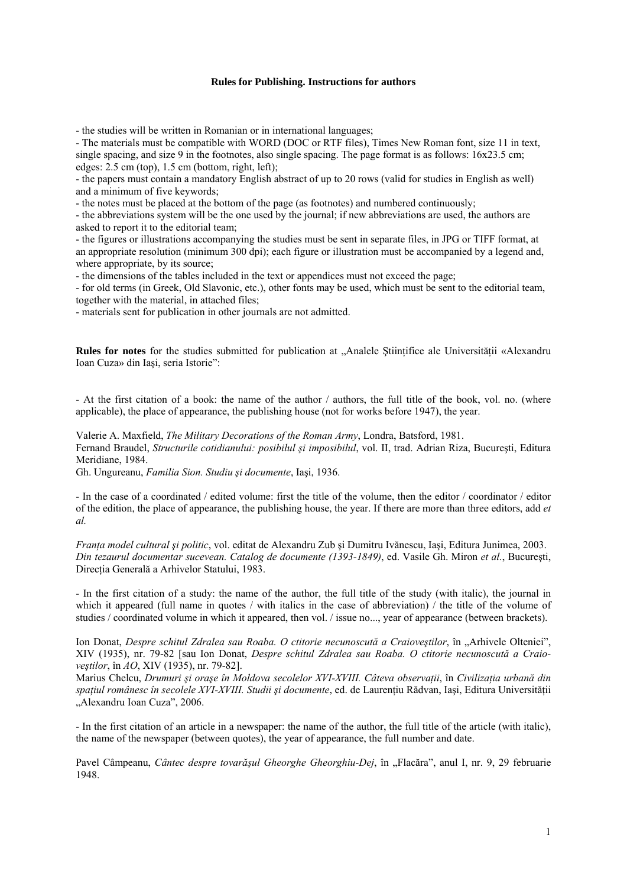## **Rules for Publishing. Instructions for authors**

- the studies will be written in Romanian or in international languages;

- The materials must be compatible with WORD (DOC or RTF files), Times New Roman font, size 11 in text, single spacing, and size 9 in the footnotes, also single spacing. The page format is as follows: 16x23.5 cm; edges: 2.5 cm (top), 1.5 cm (bottom, right, left);

- the papers must contain a mandatory English abstract of up to 20 rows (valid for studies in English as well) and a minimum of five keywords;

- the notes must be placed at the bottom of the page (as footnotes) and numbered continuously;

- the abbreviations system will be the one used by the journal; if new abbreviations are used, the authors are asked to report it to the editorial team;

- the figures or illustrations accompanying the studies must be sent in separate files, in JPG or TIFF format, at an appropriate resolution (minimum 300 dpi); each figure or illustration must be accompanied by a legend and, where appropriate, by its source;

- the dimensions of the tables included in the text or appendices must not exceed the page;

- for old terms (in Greek, Old Slavonic, etc.), other fonts may be used, which must be sent to the editorial team, together with the material, in attached files;

- materials sent for publication in other journals are not admitted.

**Rules for notes** for the studies submitted for publication at "Analele Ştiințifice ale Universității «Alexandru Ioan Cuza» din Iaşi, seria Istorie":

- At the first citation of a book: the name of the author / authors, the full title of the book, vol. no. (where applicable), the place of appearance, the publishing house (not for works before 1947), the year.

Valerie A. Maxfield, *The Military Decorations of the Roman Army*, Londra, Batsford, 1981. Fernand Braudel, *Structurile cotidianului: posibilul şi imposibilul*, vol. II, trad. Adrian Riza, Bucureşti, Editura Meridiane, 1984.

Gh. Ungureanu, *Familia Sion. Studiu şi documente*, Iaşi, 1936.

- In the case of a coordinated / edited volume: first the title of the volume, then the editor / coordinator / editor of the edition, the place of appearance, the publishing house, the year. If there are more than three editors, add *et al.*

*Franţa model cultural şi politic*, vol. editat de Alexandru Zub şi Dumitru Ivănescu, Iaşi, Editura Junimea, 2003. *Din tezaurul documentar sucevean. Catalog de documente (1393-1849)*, ed. Vasile Gh. Miron *et al.*, Bucureşti, Direcţia Generală a Arhivelor Statului, 1983.

- In the first citation of a study: the name of the author, the full title of the study (with italic), the journal in which it appeared (full name in quotes / with italics in the case of abbreviation) / the title of the volume of studies / coordinated volume in which it appeared, then vol. / issue no..., year of appearance (between brackets).

Ion Donat, *Despre schitul Zdralea sau Roaba. O ctitorie necunoscută a Craioveştilor*, în "Arhivele Olteniei", XIV (1935), nr. 79-82 [sau Ion Donat, *Despre schitul Zdralea sau Roaba. O ctitorie necunoscută a Craioveştilor*, în *AO*, XIV (1935), nr. 79-82].

Marius Chelcu, *Drumuri şi oraşe în Moldova secolelor XVI-XVIII. Câteva observaţii*, în *Civilizaţia urbană din spaţiul românesc în secolele XVI-XVIII. Studii şi documente*, ed. de Laurenţiu Rădvan, Iaşi, Editura Universităţii "Alexandru Ioan Cuza", 2006.

- In the first citation of an article in a newspaper: the name of the author, the full title of the article (with italic), the name of the newspaper (between quotes), the year of appearance, the full number and date.

Pavel Câmpeanu, *Cântec despre tovarășul Gheorghe Gheorghiu-Dej*, în "Flacăra", anul I, nr. 9, 29 februarie 1948.